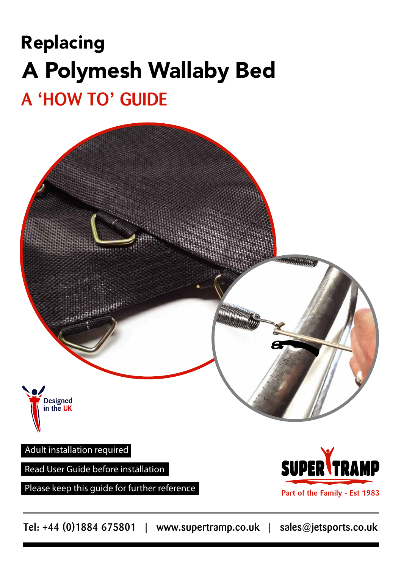# A **'**HOW TO**'** GUIDE Replacing A Polymesh Wallaby Bed



Part of the Family - Est 1983

Tel: +44 (0)1884 675801 | www.supertramp.co.uk | sales@jetsports.co.uk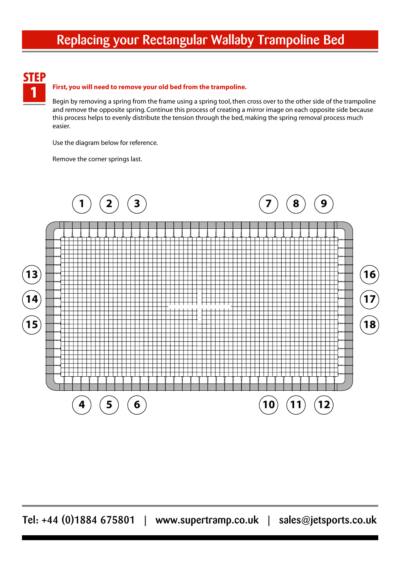## Replacing your Rectangular Wallaby Trampoline Bed



#### 1 **First, you will need to remove your old bed from the trampoline.**

Begin by removing a spring from the frame using a spring tool, then cross over to the other side of the trampoline and remove the opposite spring. Continue this process of creating a mirror image on each opposite side because this process helps to evenly distribute the tension through the bed, making the spring removal process much easier.

Use the diagram below for reference.

Remove the corner springs last.

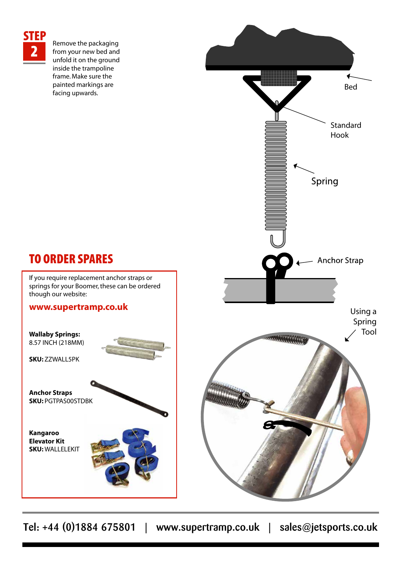

**2** Remove the packaging<br>
from your new bed and<br>
unfold it on the ground unfold it on the ground inside the trampoline frame. Make sure the painted markings are facing upwards.



### TO ORDER SPARES

If you require replacement anchor straps or springs for your Boomer, these can be ordered though our website:

#### **www.supertramp.co.uk**

**Wallaby Springs:** 8.57 INCH (218MM)

**SKU:** ZZWALL5PK

**Anchor Straps SKU:** PGTPAS00STDBK

**Kangaroo Elevator Kit SKU:** WALLELEKIT

Tel: +44 (0)1884 675801 | www.supertramp.co.uk | sales@jetsports.co.uk